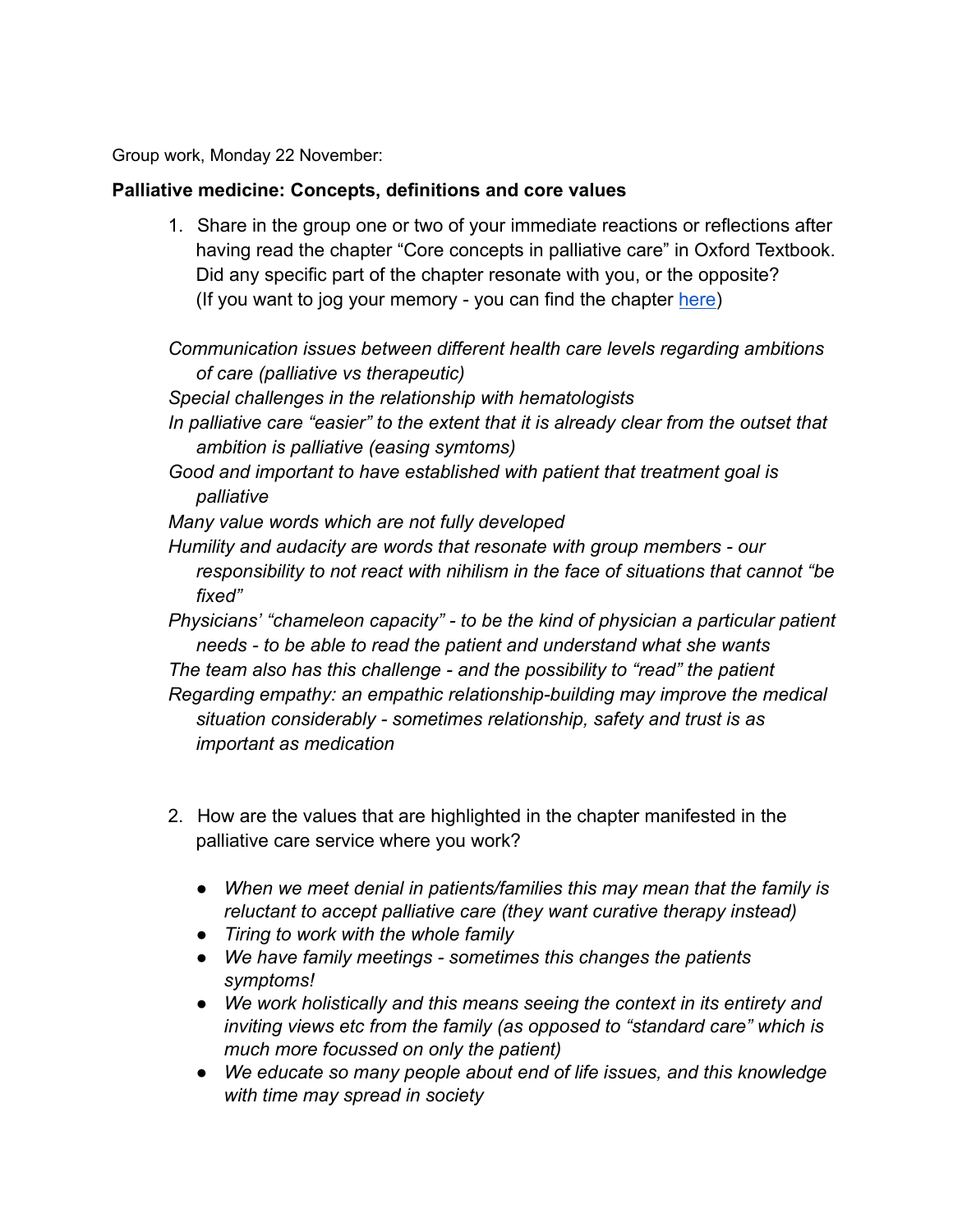Group work, Monday 22 November:

## **Palliative medicine: Concepts, definitions and core values**

1. Share in the group one or two of your immediate reactions or reflections after having read the chapter "Core concepts in palliative care" in Oxford Textbook. Did any specific part of the chapter resonate with you, or the opposite? (If you want to jog your memory - you can find the chapter [here](https://drive.google.com/file/d/1gAEVyYNHiC4xmwsBbTG9UZ10nPLuCG1U/view?usp=sharing))

*Communication issues between different health care levels regarding ambitions of care (palliative vs therapeutic)*

*Special challenges in the relationship with hematologists*

*In palliative care "easier" to the extent that it is already clear from the outset that ambition is palliative (easing symtoms)*

*Good and important to have established with patient that treatment goal is palliative*

*Many value words which are not fully developed*

*Humility and audacity are words that resonate with group members - our responsibility to not react with nihilism in the face of situations that cannot "be fixed"*

*Physicians' "chameleon capacity" - to be the kind of physician a particular patient needs - to be able to read the patient and understand what she wants The team also has this challenge - and the possibility to "read" the patient Regarding empathy: an empathic relationship-building may improve the medical situation considerably - sometimes relationship, safety and trust is as important as medication*

- 2. How are the values that are highlighted in the chapter manifested in the palliative care service where you work?
	- *● When we meet denial in patients/families this may mean that the family is reluctant to accept palliative care (they want curative therapy instead)*
	- *● Tiring to work with the whole family*
	- *● We have family meetings sometimes this changes the patients symptoms!*
	- *● We work holistically and this means seeing the context in its entirety and inviting views etc from the family (as opposed to "standard care" which is much more focussed on only the patient)*
	- *● We educate so many people about end of life issues, and this knowledge with time may spread in society*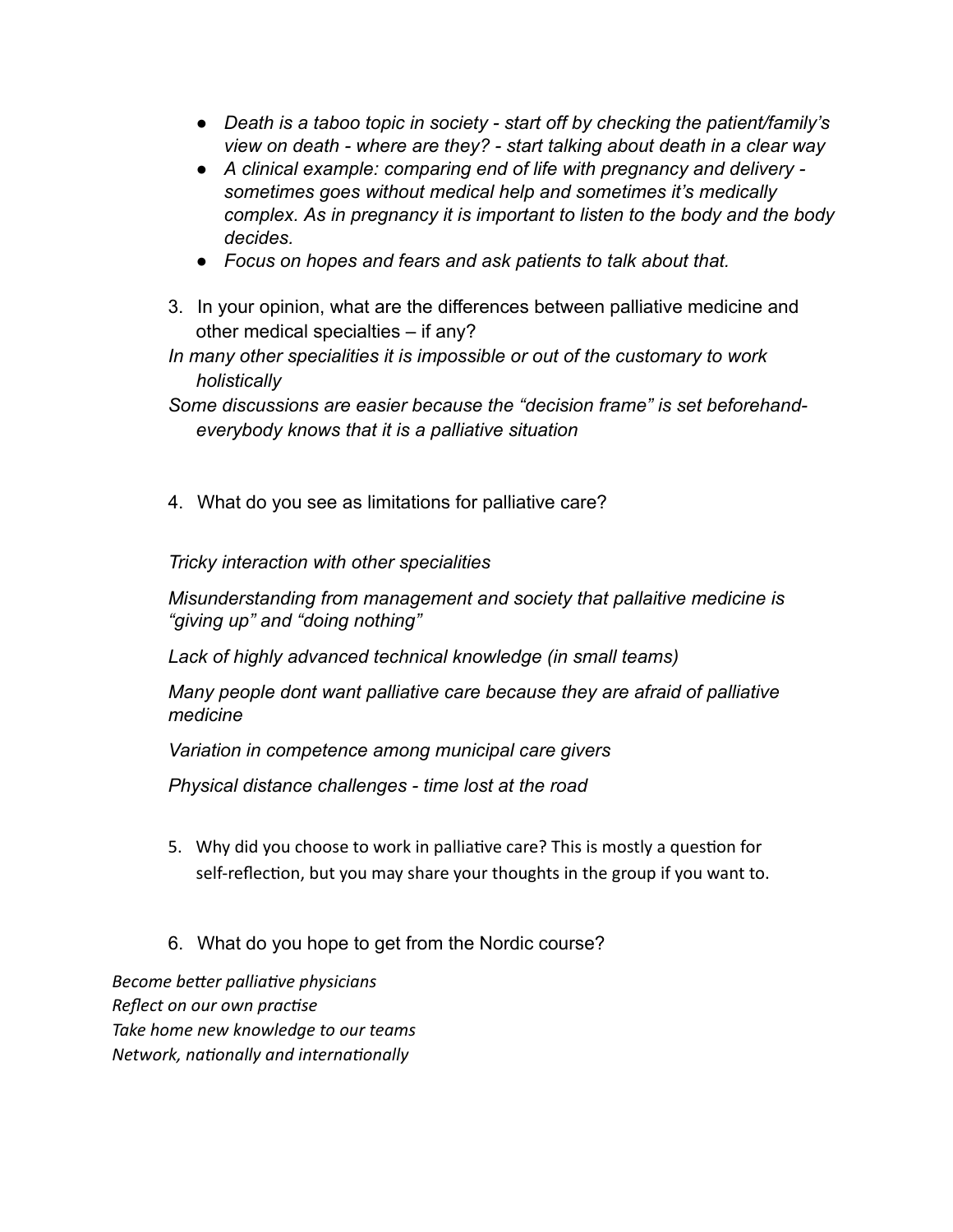- *● Death is a taboo topic in society start off by checking the patient/family's view on death - where are they? - start talking about death in a clear way*
- *● A clinical example: comparing end of life with pregnancy and delivery sometimes goes without medical help and sometimes it's medically complex. As in pregnancy it is important to listen to the body and the body decides.*
- *● Focus on hopes and fears and ask patients to talk about that.*
- 3. In your opinion, what are the differences between palliative medicine and other medical specialties – if any?
- *In many other specialities it is impossible or out of the customary to work holistically*
- *Some discussions are easier because the "decision frame" is set beforehandeverybody knows that it is a palliative situation*
- 4. What do you see as limitations for palliative care?

*Tricky interaction with other specialities*

*Misunderstanding from management and society that pallaitive medicine is "giving up" and "doing nothing"*

*Lack of highly advanced technical knowledge (in small teams)*

*Many people dont want palliative care because they are afraid of palliative medicine*

*Variation in competence among municipal care givers*

*Physical distance challenges - time lost at the road*

- 5. Why did you choose to work in palliative care? This is mostly a question for self-reflection, but you may share your thoughts in the group if you want to.
- 6. What do you hope to get from the Nordic course?

**Become better palliative physicians** *Reflect on our own practise Take home new knowledge to our teams Network, nationally and internationally*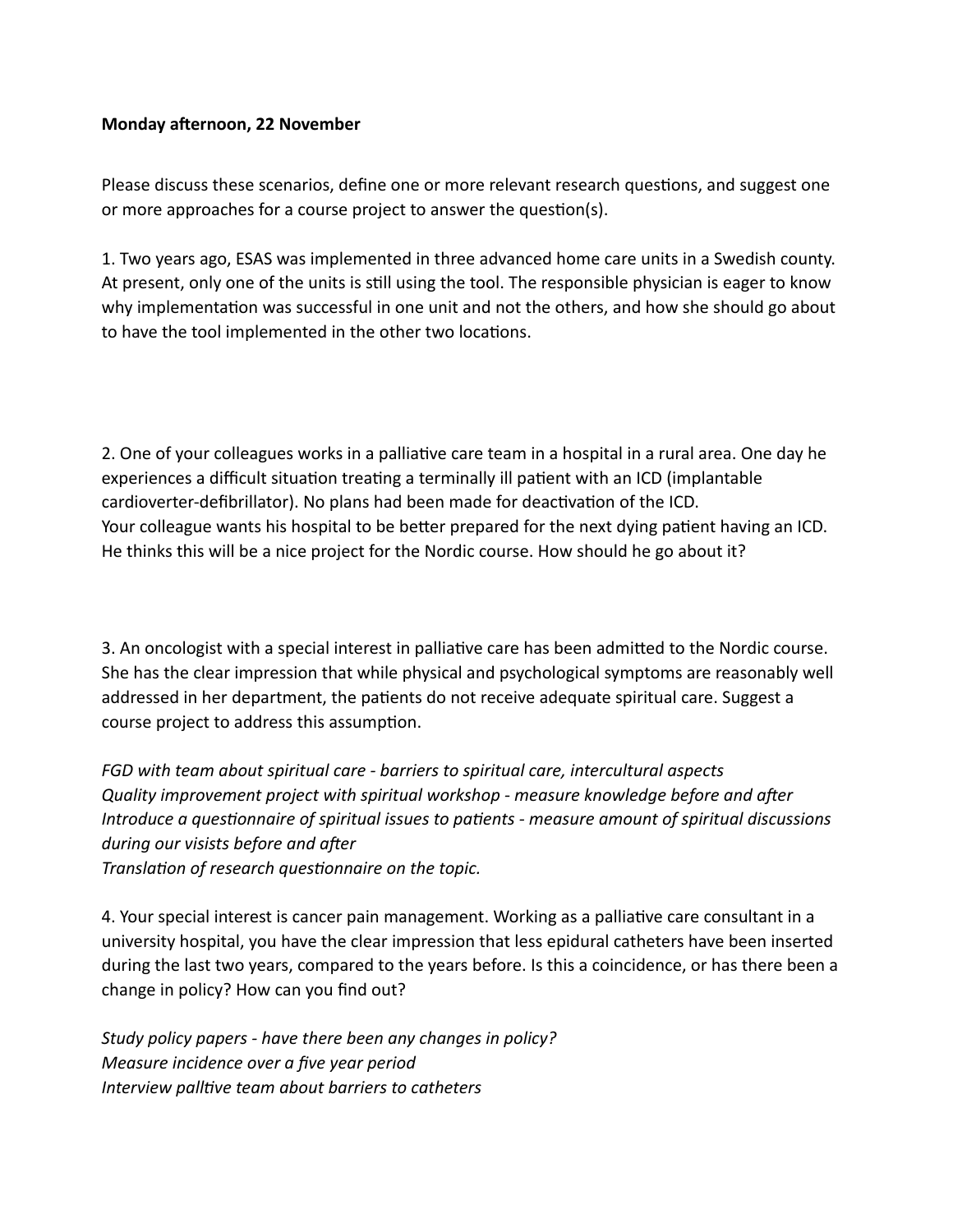## **Monday afternoon, 22 November**

Please discuss these scenarios, define one or more relevant research questions, and suggest one or more approaches for a course project to answer the question(s).

1. Two years ago, ESAS was implemented in three advanced home care units in a Swedish county. At present, only one of the units is still using the tool. The responsible physician is eager to know why implementation was successful in one unit and not the others, and how she should go about to have the tool implemented in the other two locations.

2. One of your colleagues works in a palliative care team in a hospital in a rural area. One day he experiences a difficult situation treating a terminally ill patient with an ICD (implantable cardioverter-defibrillator). No plans had been made for deactivation of the ICD. Your colleague wants his hospital to be better prepared for the next dying patient having an ICD. He thinks this will be a nice project for the Nordic course. How should he go about it?

3. An oncologist with a special interest in palliative care has been admitted to the Nordic course. She has the clear impression that while physical and psychological symptoms are reasonably well addressed in her department, the patients do not receive adequate spiritual care. Suggest a course project to address this assumption.

*FGD with team about spiritual care - barriers to spiritual care, intercultural aspects* Quality improvement project with spiritual workshop - measure knowledge before and after *Introduce a questionnaire of spiritual issues to patients - measure amount of spiritual discussions during our visists before and after* 

*Translation of research questionnaire on the topic.* 

4. Your special interest is cancer pain management. Working as a palliative care consultant in a university hospital, you have the clear impression that less epidural catheters have been inserted during the last two years, compared to the years before. Is this a coincidence, or has there been a change in policy? How can you find out?

*Study policy papers - have there been any changes in policy? Measure incidence over a five year period Interview palltive team about barriers to catheters*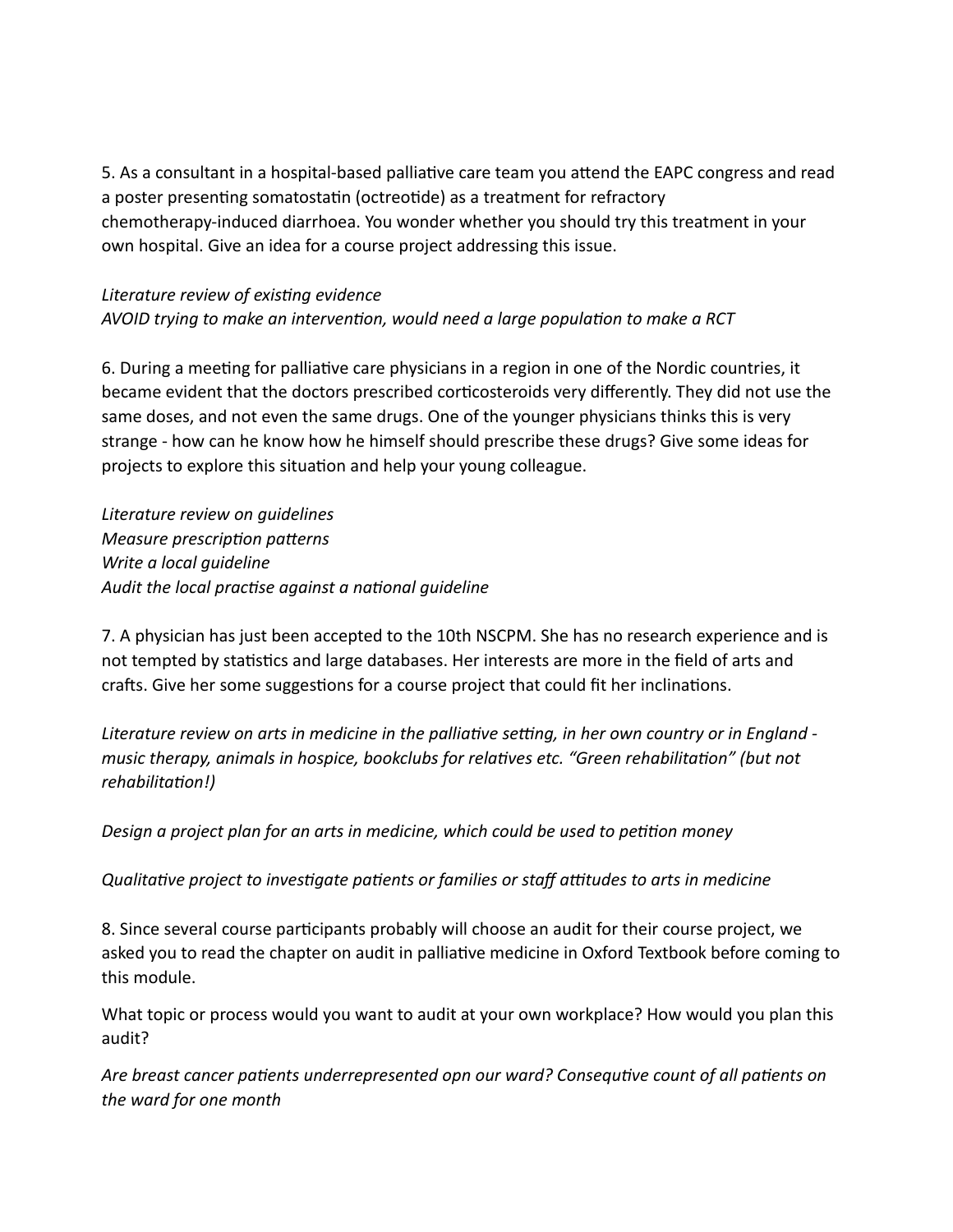5. As a consultant in a hospital-based palliative care team you attend the EAPC congress and read a poster presenting somatostatin (octreotide) as a treatment for refractory chemotherapy-induced diarrhoea. You wonder whether you should try this treatment in your own hospital. Give an idea for a course project addressing this issue.

## *Literature review of exisng evidence*

*AVOID trying to make an intervention, would need a large population to make a RCT* 

6. During a meeting for palliative care physicians in a region in one of the Nordic countries, it became evident that the doctors prescribed corticosteroids very differently. They did not use the same doses, and not even the same drugs. One of the younger physicians thinks this is very strange - how can he know how he himself should prescribe these drugs? Give some ideas for projects to explore this situation and help your young colleague.

*Literature review on guidelines Measure prescription patterns Write a local guideline* Audit the local practise against a national guideline

7. A physician has just been accepted to the 10th NSCPM. She has no research experience and is not tempted by statistics and large databases. Her interests are more in the field of arts and crafts. Give her some suggestions for a course project that could fit her inclinations.

Literature review on arts in medicine in the palliative setting, in her own country or in England music therapy, animals in hospice, bookclubs for relatives etc. "Green rehabilitation" (but not *rehabilitation!)* 

Design a project plan for an arts in medicine, which could be used to petition money

*Qualitative project to investigate patients or families or staff attitudes to arts in medicine* 

8. Since several course participants probably will choose an audit for their course project, we asked you to read the chapter on audit in palliative medicine in Oxford Textbook before coming to this module.

What topic or process would you want to audit at your own workplace? How would you plan this audit?

Are breast cancer patients underrepresented opn our ward? Consequtive count of all patients on *the ward for one month*